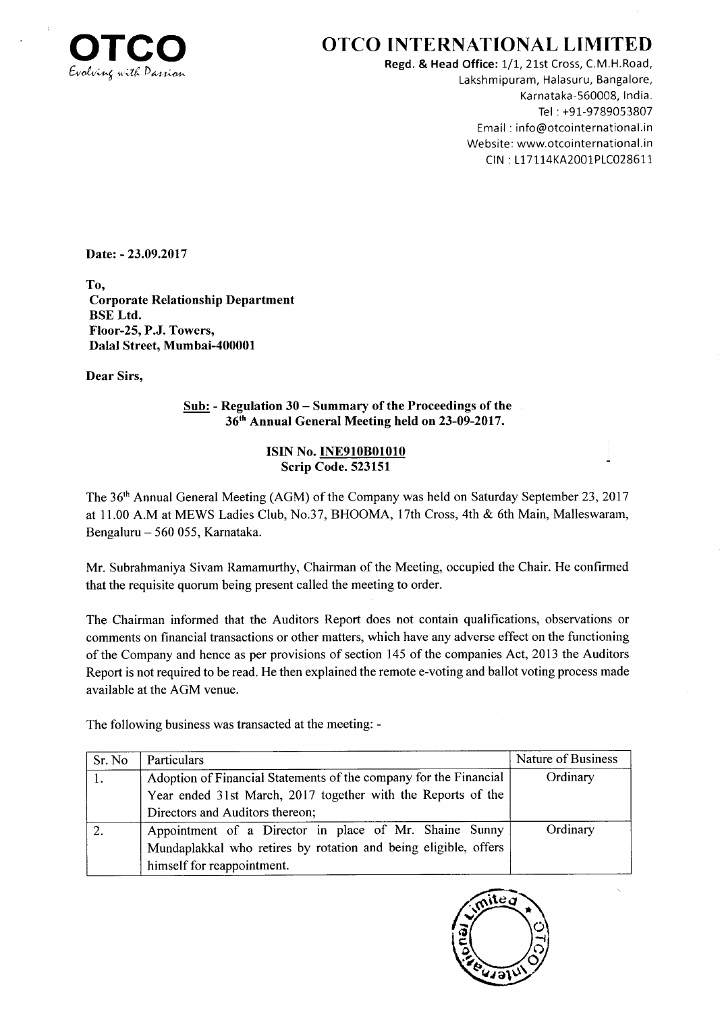

## OTCO INTERNATIONAL LIMITED

Regd. & Head Office: 1/1, 21st Cross, C.M.H.Road, Lakshmipuram, Halasuru, Bangalore, Karnataka-560008, lndia. Tel : +91-9789053807 Email : info@otcointernational.in Website: www.otcointernational.in CIN : 117 1 14KA200i PLC0286I1

Date: - 23.09.2017

To, Corporate Relationship Department BSE Ltd. Floor-25, P.J. Towers, Dalal Street, Mumbai-400001

Dear Sirs,

Sub: - Regulation 30 - Summary of the Proceedings of the 36th Annual General Meeting held on 23-09-2017.

## ISIN No. INE910801010 Scrip Code. 523151

The 36<sup>th</sup> Annual General Meeting (AGM) of the Company was held on Saturday September 23, 2017 at 11.00 A.M at MEWS Ladies Club, No.37, BHOOMA, 17th Cross, 4th & 6th Main, Malleswaram, Bengaluru - 560 055, Karnataka.

Mr. Subrahmaniya Sivam Ramamurthy, Chairman of the Meeting, occupied the Chair. He confirmed that the requisite quorum being present called the meeting to order.

The Chairman informed that the Auditors Report does not contain qualifications, observations or comments on financial transactions or other matters, which have any adverse effect on the functioning of the Company and hence as per provisions of section 145 of the companies Act,2013 the Auditors Report is not required to be read. He then explained the remote e-voting and ballot voting process made available at the AGM venue.

The following business was transacted at the meeting: -

| Sr. No | Particulars                                                       | Nature of Business |
|--------|-------------------------------------------------------------------|--------------------|
|        | Adoption of Financial Statements of the company for the Financial | Ordinary           |
|        | Year ended 31st March, 2017 together with the Reports of the      |                    |
|        | Directors and Auditors thereon;                                   |                    |
|        | Appointment of a Director in place of Mr. Shaine Sunny            | Ordinary           |
|        | Mundaplakkal who retires by rotation and being eligible, offers   |                    |
|        | himself for reappointment.                                        |                    |